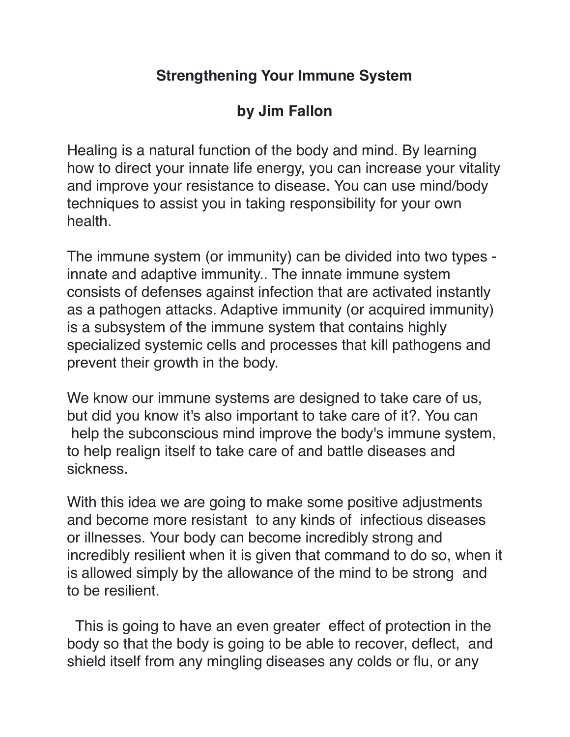## **Strengthening Your Immune System**

## **by Jim Fallon**

Healing is a natural function of the body and mind. By learning how to direct your innate life energy, you can increase your vitality and improve your resistance to disease. You can use mind/body techniques to assist you in taking responsibility for your own health.

The immune system (or immunity) can be divided into two types innate and adaptive immunity.. The innate immune system consists of defenses against infection that are activated instantly as a pathogen attacks. Adaptive immunity (or acquired immunity) is a subsystem of the immune system that contains highly specialized systemic cells and processes that kill pathogens and prevent their growth in the body.

We know our immune systems are designed to take care of us, but did you know it's also important to take care of it?. You can help the subconscious mind improve the body's immune system, to help realign itself to take care of and battle diseases and sickness.

With this idea we are going to make some positive adjustments and become more resistant to any kinds of infectious diseases or illnesses. Your body can become incredibly strong and incredibly resilient when it is given that command to do so, when it is allowed simply by the allowance of the mind to be strong and to be resilient.

 This is going to have an even greater effect of protection in the body so that the body is going to be able to recover, deflect, and shield itself from any mingling diseases any colds or flu, or any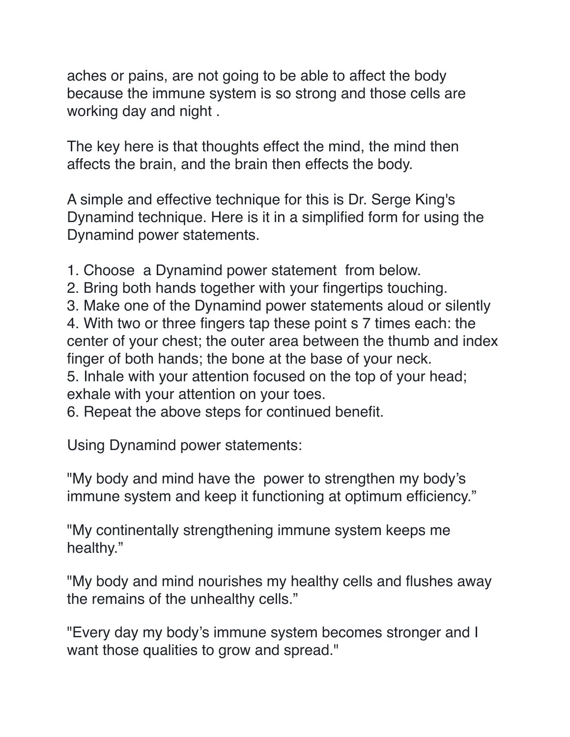aches or pains, are not going to be able to affect the body because the immune system is so strong and those cells are working day and night .

The key here is that thoughts effect the mind, the mind then affects the brain, and the brain then effects the body.

A simple and effective technique for this is Dr. Serge King's Dynamind technique. Here is it in a simplified form for using the Dynamind power statements.

- 1. Choose a Dynamind power statement from below.
- 2. Bring both hands together with your fingertips touching.
- 3. Make one of the Dynamind power statements aloud or silently

4. With two or three fingers tap these point s 7 times each: the center of your chest; the outer area between the thumb and index finger of both hands; the bone at the base of your neck.

5. Inhale with your attention focused on the top of your head; exhale with your attention on your toes.

6. Repeat the above steps for continued benefit.

Using Dynamind power statements:

"My body and mind have the power to strengthen my body's immune system and keep it functioning at optimum efficiency."

"My continentally strengthening immune system keeps me healthy."

"My body and mind nourishes my healthy cells and flushes away the remains of the unhealthy cells."

"Every day my body's immune system becomes stronger and I want those qualities to grow and spread."